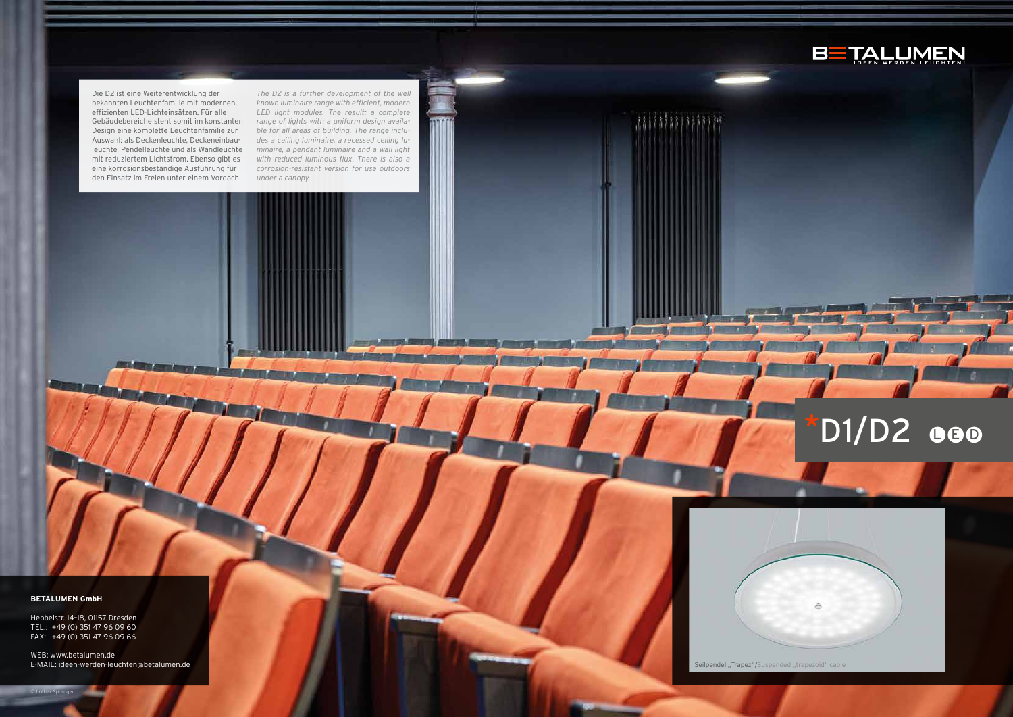## **BETALUMEN GmbH**

WEB: www.betalumen.de E-MAIL: ideen-werden-leuchten@betalumen.de Seilpendel "Trapez"/Suspended "trapezoid" cable



# $D1/D2$  000



Hebbelstr. 14–18, 01157 Dresden TEL.: +49 (0) 351 47 96 09 60 FAX: +49 (0) 351 47 96 09 66

Die D2 ist eine Weiterentwicklung der bekannten Leuchtenfamilie mit modernen, effizienten LED-Lichteinsätzen. Für alle Gebäudebereiche steht somit im konstanten Design eine komplette Leuchtenfamilie zur Auswahl: als Deckenleuchte, Deckeneinbauleuchte, Pendelleuchte und als Wandleuchte mit reduziertem Lichtstrom. Ebenso gibt es eine korrosionsbeständige Ausführung für den Einsatz im Freien unter einem Vordach.

*The D2 is a further development of the well known luminaire range with efficient, modern LED light modules. The result: a complete range of lights with a uniform design available for all areas of building. The range includes a ceiling luminaire, a recessed ceiling luminaire, a pendant luminaire and a wall light with reduced luminous flux. There is also a corrosion-resistant version for use outdoors under a canopy.*

© Lothar Sprenger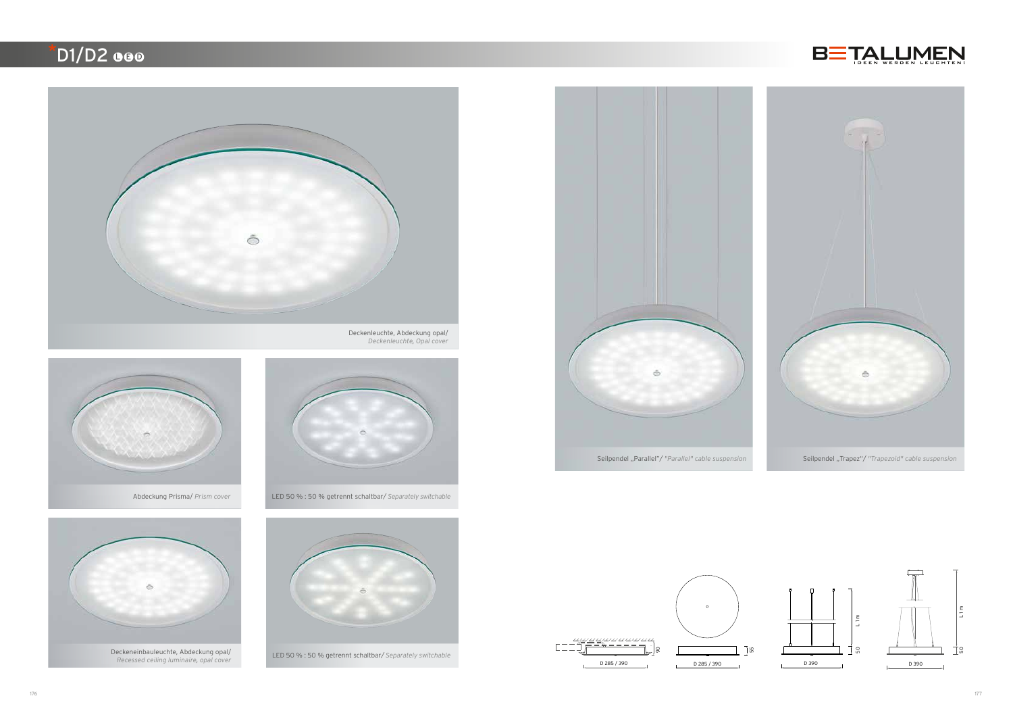

Abdeckung Prisma/ *Prism cover* LED 50 % : 50 % getrennt schaltbar*/ Separately switchable*







## $\overline{D1/D2}$  eeo



*Deckenleuchte, Opal cover*